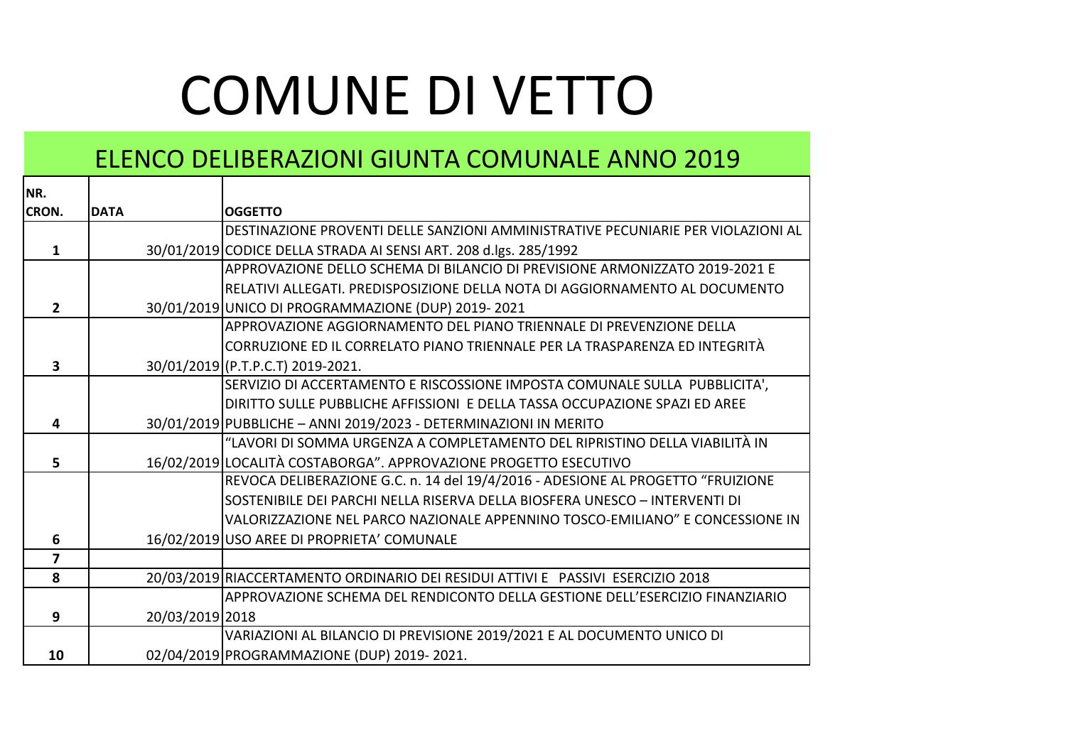## COMUNE DI VETTO

## ELENCO DELIBERAZIONI GIUNTA COMUNALE ANNO 2019

| NR.            |                 |                                                                                  |
|----------------|-----------------|----------------------------------------------------------------------------------|
| CRON.          | <b>DATA</b>     | <b>OGGETTO</b>                                                                   |
|                |                 | DESTINAZIONE PROVENTI DELLE SANZIONI AMMINISTRATIVE PECUNIARIE PER VIOLAZIONI AL |
| 1              |                 | 30/01/2019 CODICE DELLA STRADA AI SENSI ART. 208 d.lgs. 285/1992                 |
|                |                 | APPROVAZIONE DELLO SCHEMA DI BILANCIO DI PREVISIONE ARMONIZZATO 2019-2021 E      |
|                |                 | RELATIVI ALLEGATI. PREDISPOSIZIONE DELLA NOTA DI AGGIORNAMENTO AL DOCUMENTO      |
| $\overline{2}$ |                 | 30/01/2019 UNICO DI PROGRAMMAZIONE (DUP) 2019-2021                               |
|                |                 | APPROVAZIONE AGGIORNAMENTO DEL PIANO TRIENNALE DI PREVENZIONE DELLA              |
|                |                 | CORRUZIONE ED IL CORRELATO PIANO TRIENNALE PER LA TRASPARENZA ED INTEGRITÀ       |
| 3              |                 | 30/01/2019 (P.T.P.C.T) 2019-2021.                                                |
|                |                 | SERVIZIO DI ACCERTAMENTO E RISCOSSIONE IMPOSTA COMUNALE SULLA PUBBLICITA',       |
|                |                 | DIRITTO SULLE PUBBLICHE AFFISSIONI E DELLA TASSA OCCUPAZIONE SPAZI ED AREE       |
| 4              |                 | 30/01/2019 PUBBLICHE - ANNI 2019/2023 - DETERMINAZIONI IN MERITO                 |
|                |                 | "LAVORI DI SOMMA URGENZA A COMPLETAMENTO DEL RIPRISTINO DELLA VIABILITÀ IN       |
| 5.             |                 | 16/02/2019 LOCALITÀ COSTABORGA". APPROVAZIONE PROGETTO ESECUTIVO                 |
|                |                 | REVOCA DELIBERAZIONE G.C. n. 14 del 19/4/2016 - ADESIONE AL PROGETTO "FRUIZIONE  |
|                |                 | SOSTENIBILE DEI PARCHI NELLA RISERVA DELLA BIOSFERA UNESCO - INTERVENTI DI       |
|                |                 | VALORIZZAZIONE NEL PARCO NAZIONALE APPENNINO TOSCO-EMILIANO" E CONCESSIONE IN    |
| 6              |                 | 16/02/2019 USO AREE DI PROPRIETA' COMUNALE                                       |
| $\overline{7}$ |                 |                                                                                  |
| 8              |                 | 20/03/2019 RIACCERTAMENTO ORDINARIO DEI RESIDUI ATTIVI E PASSIVI ESERCIZIO 2018  |
|                |                 | APPROVAZIONE SCHEMA DEL RENDICONTO DELLA GESTIONE DELL'ESERCIZIO FINANZIARIO     |
| 9              | 20/03/2019 2018 |                                                                                  |
|                |                 | VARIAZIONI AL BILANCIO DI PREVISIONE 2019/2021 E AL DOCUMENTO UNICO DI           |
| 10             |                 | 02/04/2019 PROGRAMMAZIONE (DUP) 2019-2021.                                       |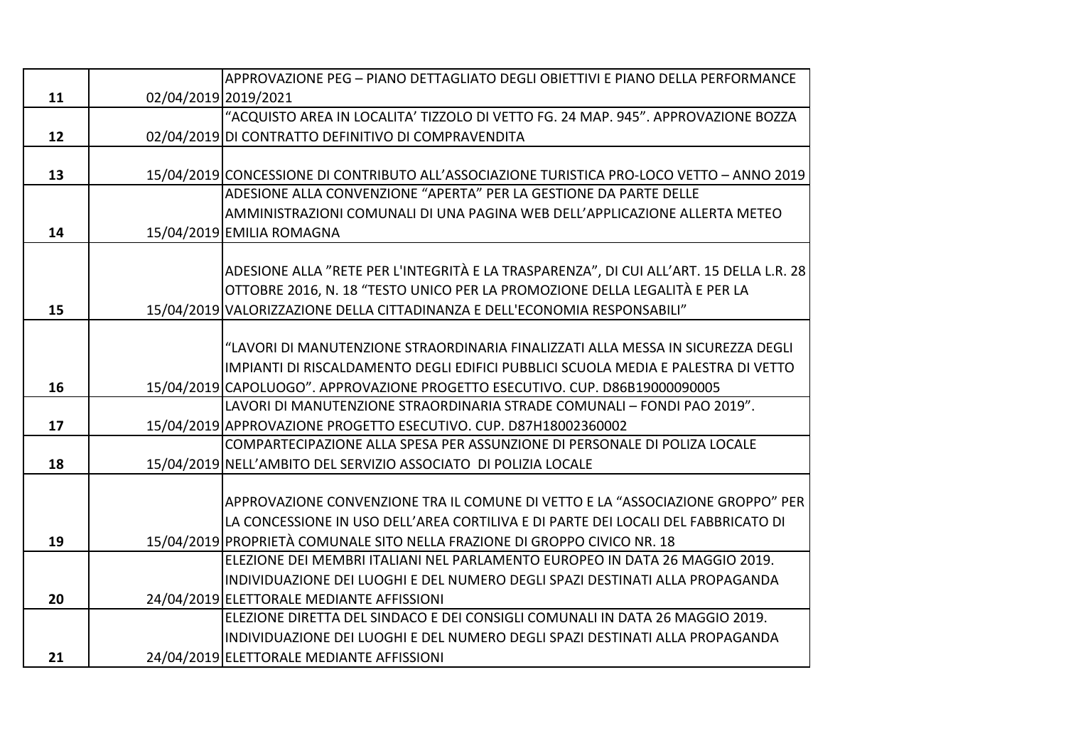|    |                      | APPROVAZIONE PEG - PIANO DETTAGLIATO DEGLI OBIETTIVI E PIANO DELLA PERFORMANCE             |
|----|----------------------|--------------------------------------------------------------------------------------------|
| 11 | 02/04/2019 2019/2021 |                                                                                            |
|    |                      | "ACQUISTO AREA IN LOCALITA' TIZZOLO DI VETTO FG. 24 MAP. 945". APPROVAZIONE BOZZA          |
| 12 |                      | 02/04/2019 DI CONTRATTO DEFINITIVO DI COMPRAVENDITA                                        |
|    |                      |                                                                                            |
| 13 |                      | 15/04/2019 CONCESSIONE DI CONTRIBUTO ALL'ASSOCIAZIONE TURISTICA PRO-LOCO VETTO - ANNO 2019 |
|    |                      | ADESIONE ALLA CONVENZIONE "APERTA" PER LA GESTIONE DA PARTE DELLE                          |
|    |                      | AMMINISTRAZIONI COMUNALI DI UNA PAGINA WEB DELL'APPLICAZIONE ALLERTA METEO                 |
| 14 |                      | 15/04/2019 EMILIA ROMAGNA                                                                  |
|    |                      |                                                                                            |
|    |                      | ADESIONE ALLA "RETE PER L'INTEGRITÀ E LA TRASPARENZA", DI CUI ALL'ART. 15 DELLA L.R. 28    |
|    |                      | OTTOBRE 2016, N. 18 "TESTO UNICO PER LA PROMOZIONE DELLA LEGALITÀ E PER LA                 |
| 15 |                      | 15/04/2019 VALORIZZAZIONE DELLA CITTADINANZA E DELL'ECONOMIA RESPONSABILI"                 |
|    |                      |                                                                                            |
|    |                      | "LAVORI DI MANUTENZIONE STRAORDINARIA FINALIZZATI ALLA MESSA IN SICUREZZA DEGLI            |
|    |                      | IMPIANTI DI RISCALDAMENTO DEGLI EDIFICI PUBBLICI SCUOLA MEDIA E PALESTRA DI VETTO          |
| 16 |                      | 15/04/2019 CAPOLUOGO". APPROVAZIONE PROGETTO ESECUTIVO. CUP. D86B19000090005               |
|    |                      | LAVORI DI MANUTENZIONE STRAORDINARIA STRADE COMUNALI - FONDI PAO 2019".                    |
| 17 |                      | 15/04/2019 APPROVAZIONE PROGETTO ESECUTIVO. CUP. D87H18002360002                           |
|    |                      | COMPARTECIPAZIONE ALLA SPESA PER ASSUNZIONE DI PERSONALE DI POLIZA LOCALE                  |
| 18 |                      | 15/04/2019 NELL'AMBITO DEL SERVIZIO ASSOCIATO DI POLIZIA LOCALE                            |
|    |                      |                                                                                            |
|    |                      | APPROVAZIONE CONVENZIONE TRA IL COMUNE DI VETTO E LA "ASSOCIAZIONE GROPPO" PER             |
|    |                      | LA CONCESSIONE IN USO DELL'AREA CORTILIVA E DI PARTE DEI LOCALI DEL FABBRICATO DI          |
| 19 |                      | 15/04/2019 PROPRIETÀ COMUNALE SITO NELLA FRAZIONE DI GROPPO CIVICO NR. 18                  |
|    |                      | ELEZIONE DEI MEMBRI ITALIANI NEL PARLAMENTO EUROPEO IN DATA 26 MAGGIO 2019.                |
|    |                      | INDIVIDUAZIONE DEI LUOGHI E DEL NUMERO DEGLI SPAZI DESTINATI ALLA PROPAGANDA               |
| 20 |                      | 24/04/2019 ELETTORALE MEDIANTE AFFISSIONI                                                  |
|    |                      | ELEZIONE DIRETTA DEL SINDACO E DEI CONSIGLI COMUNALI IN DATA 26 MAGGIO 2019.               |
|    |                      | INDIVIDUAZIONE DEI LUOGHI E DEL NUMERO DEGLI SPAZI DESTINATI ALLA PROPAGANDA               |
| 21 |                      | 24/04/2019 ELETTORALE MEDIANTE AFFISSIONI                                                  |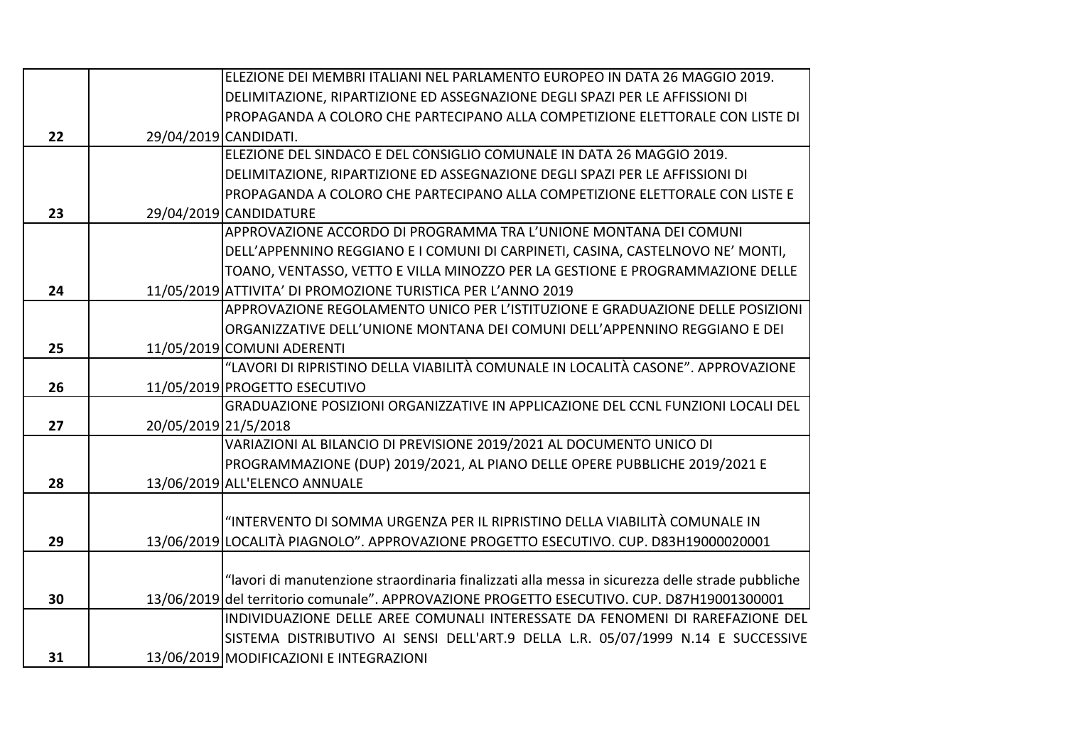|    |                       | ELEZIONE DEI MEMBRI ITALIANI NEL PARLAMENTO EUROPEO IN DATA 26 MAGGIO 2019.                      |
|----|-----------------------|--------------------------------------------------------------------------------------------------|
|    |                       | DELIMITAZIONE, RIPARTIZIONE ED ASSEGNAZIONE DEGLI SPAZI PER LE AFFISSIONI DI                     |
|    |                       | PROPAGANDA A COLORO CHE PARTECIPANO ALLA COMPETIZIONE ELETTORALE CON LISTE DI                    |
| 22 | 29/04/2019 CANDIDATI. |                                                                                                  |
|    |                       | ELEZIONE DEL SINDACO E DEL CONSIGLIO COMUNALE IN DATA 26 MAGGIO 2019.                            |
|    |                       | DELIMITAZIONE, RIPARTIZIONE ED ASSEGNAZIONE DEGLI SPAZI PER LE AFFISSIONI DI                     |
|    |                       | PROPAGANDA A COLORO CHE PARTECIPANO ALLA COMPETIZIONE ELETTORALE CON LISTE E                     |
| 23 |                       | 29/04/2019 CANDIDATURE                                                                           |
|    |                       | APPROVAZIONE ACCORDO DI PROGRAMMA TRA L'UNIONE MONTANA DEI COMUNI                                |
|    |                       | DELL'APPENNINO REGGIANO E I COMUNI DI CARPINETI, CASINA, CASTELNOVO NE' MONTI,                   |
|    |                       | TOANO, VENTASSO, VETTO E VILLA MINOZZO PER LA GESTIONE E PROGRAMMAZIONE DELLE                    |
| 24 |                       | 11/05/2019 ATTIVITA' DI PROMOZIONE TURISTICA PER L'ANNO 2019                                     |
|    |                       | APPROVAZIONE REGOLAMENTO UNICO PER L'ISTITUZIONE E GRADUAZIONE DELLE POSIZIONI                   |
|    |                       | ORGANIZZATIVE DELL'UNIONE MONTANA DEI COMUNI DELL'APPENNINO REGGIANO E DEI                       |
| 25 |                       | 11/05/2019 COMUNI ADERENTI                                                                       |
|    |                       | "LAVORI DI RIPRISTINO DELLA VIABILITÀ COMUNALE IN LOCALITÀ CASONE". APPROVAZIONE                 |
| 26 |                       | 11/05/2019 PROGETTO ESECUTIVO                                                                    |
|    |                       | GRADUAZIONE POSIZIONI ORGANIZZATIVE IN APPLICAZIONE DEL CCNL FUNZIONI LOCALI DEL                 |
| 27 | 20/05/2019 21/5/2018  |                                                                                                  |
|    |                       | VARIAZIONI AL BILANCIO DI PREVISIONE 2019/2021 AL DOCUMENTO UNICO DI                             |
|    |                       | PROGRAMMAZIONE (DUP) 2019/2021, AL PIANO DELLE OPERE PUBBLICHE 2019/2021 E                       |
| 28 |                       | 13/06/2019 ALL'ELENCO ANNUALE                                                                    |
|    |                       |                                                                                                  |
|    |                       | "INTERVENTO DI SOMMA URGENZA PER IL RIPRISTINO DELLA VIABILITÀ COMUNALE IN                       |
| 29 |                       | 13/06/2019 LOCALITÀ PIAGNOLO". APPROVAZIONE PROGETTO ESECUTIVO. CUP. D83H19000020001             |
|    |                       |                                                                                                  |
|    |                       | "lavori di manutenzione straordinaria finalizzati alla messa in sicurezza delle strade pubbliche |
| 30 |                       | 13/06/2019 del territorio comunale". APPROVAZIONE PROGETTO ESECUTIVO. CUP. D87H19001300001       |
|    |                       | INDIVIDUAZIONE DELLE AREE COMUNALI INTERESSATE DA FENOMENI DI RAREFAZIONE DEL                    |
|    |                       | SISTEMA DISTRIBUTIVO AI SENSI DELL'ART.9 DELLA L.R. 05/07/1999 N.14 E SUCCESSIVE                 |
| 31 |                       | 13/06/2019 MODIFICAZIONI E INTEGRAZIONI                                                          |